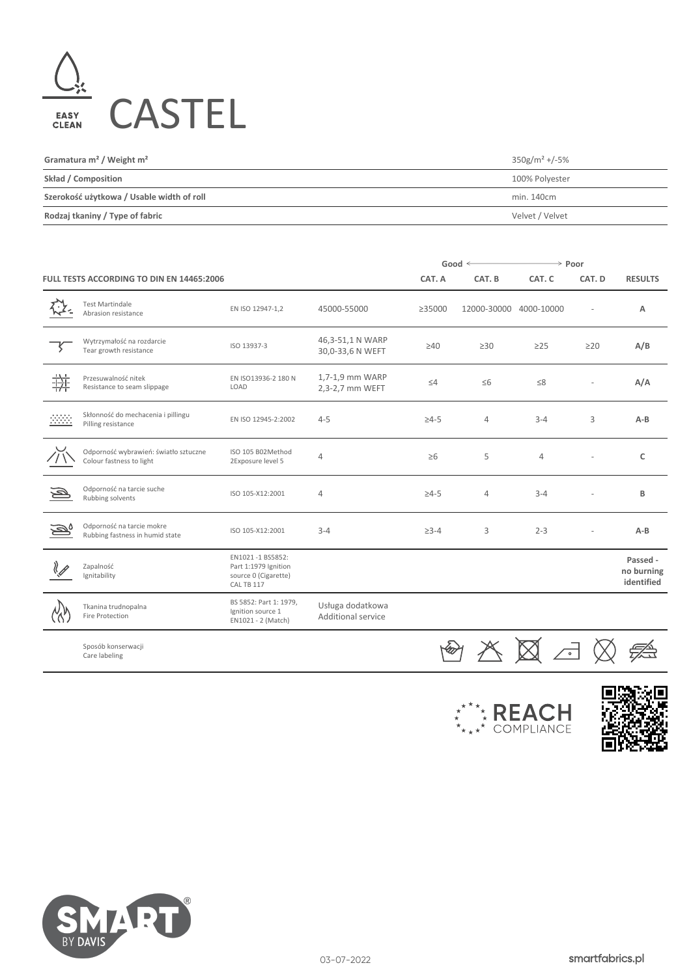

| Gramatura $m^2$ / Weight $m^2$            | $350$ g/m <sup>2</sup> +/-5% |
|-------------------------------------------|------------------------------|
| Skład / Composition                       | 100% Polyester               |
| Szerokość użytkowa / Usable width of roll | min. 140cm                   |
| Rodzaj tkaniny / Type of fabric           | Velvet / Velvet              |

|                                                                              |                                                                   |                                                                                |                                        | Good $\leq$  |                | $\rightarrow$ Poor |                |                                      |
|------------------------------------------------------------------------------|-------------------------------------------------------------------|--------------------------------------------------------------------------------|----------------------------------------|--------------|----------------|--------------------|----------------|--------------------------------------|
| FULL TESTS ACCORDING TO DIN EN 14465:2006                                    |                                                                   |                                                                                | CAT. A                                 | CAT. B       | CAT. C         | CAT. D             | <b>RESULTS</b> |                                      |
|                                                                              | <b>Test Martindale</b><br>Abrasion resistance                     | EN ISO 12947-1,2                                                               | 45000-55000                            | ≥35000       | 12000-30000    | 4000-10000         |                | Α                                    |
|                                                                              | Wytrzymałość na rozdarcie<br>Tear growth resistance               | ISO 13937-3                                                                    | 46,3-51,1 N WARP<br>30,0-33,6 N WEFT   | $\geq 40$    | $\geq 30$      | $\geq$ 25          | $\geq$ 20      | A/B                                  |
| 拼                                                                            | Przesuwalność nitek<br>Resistance to seam slippage                | EN ISO13936-2 180 N<br>LOAD                                                    | 1,7-1,9 mm WARP<br>2,3-2,7 mm WEFT     | $\leq 4$     | $\leq 6$       | $\leq 8$           |                | A/A                                  |
| $\begin{array}{c} \begin{array}{c} \cdots \\ \cdots \end{array} \end{array}$ | Skłonność do mechacenia i pillingu<br>Pilling resistance          | EN ISO 12945-2:2002                                                            | $4 - 5$                                | $\geq 4 - 5$ | $\overline{4}$ | $3 - 4$            | 3              | $A-B$                                |
|                                                                              | Odporność wybrawień: światło sztuczne<br>Colour fastness to light | ISO 105 B02Method<br>2Exposure level 5                                         | $\overline{4}$                         | $\geq 6$     | 5              | $\overline{4}$     |                | $\mathsf{C}$                         |
| $\overline{\mathbb{P}}$                                                      | Odporność na tarcie suche<br>Rubbing solvents                     | ISO 105-X12:2001                                                               | $\overline{4}$                         | $\geq 4 - 5$ | $\overline{4}$ | $3 - 4$            |                | B                                    |
| D,                                                                           | Odporność na tarcie mokre<br>Rubbing fastness in humid state      | ISO 105-X12:2001                                                               | $3 - 4$                                | $\geq 3 - 4$ | 3              | $2 - 3$            |                | $A-B$                                |
|                                                                              | Zapalność<br>Ignitability                                         | EN1021-1 BS5852:<br>Part 1:1979 Ignition<br>source 0 (Cigarette)<br>CAL TB 117 |                                        |              |                |                    |                | Passed -<br>no burning<br>identified |
|                                                                              | Tkanina trudnopalna<br>Fire Protection                            | BS 5852: Part 1: 1979,<br>Ignition source 1<br>EN1021 - 2 (Match)              | Usługa dodatkowa<br>Additional service |              |                |                    |                |                                      |
|                                                                              | Sposób konserwacji<br>Care labeling                               |                                                                                |                                        |              |                |                    |                |                                      |